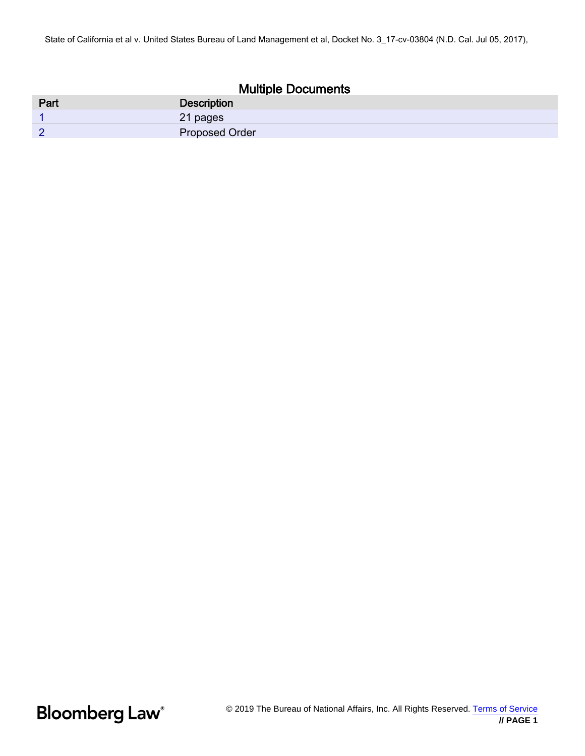## Multiple Documents

| Part   | <b>Description</b>    |
|--------|-----------------------|
|        | 21 pages              |
| $\sim$ | <b>Proposed Order</b> |

**Bloomberg Law**<sup>®</sup>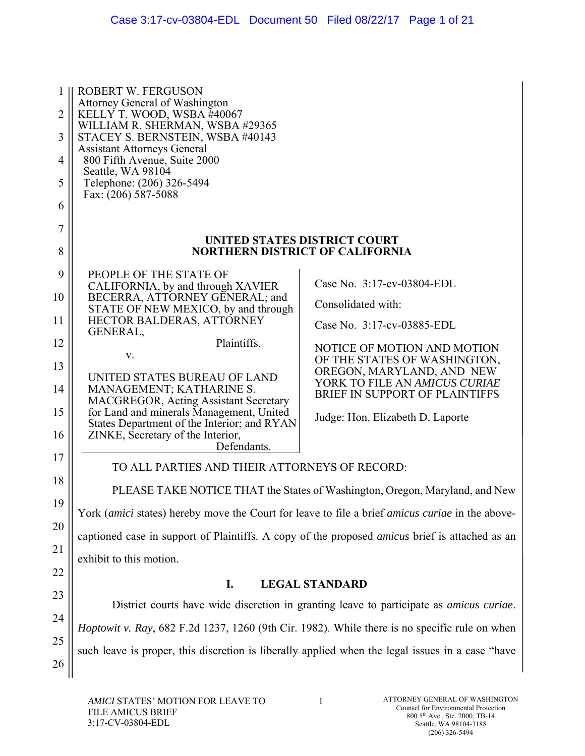| 1<br>$\overline{2}$<br>3<br>4<br>5<br>6                       | <b>ROBERT W. FERGUSON</b><br>Attorney General of Washington<br>KELLY T. WOOD, WSBA #40067<br>WILLIAM R. SHERMAN, WSBA #29365<br>STACEY S. BERNSTEIN, WSBA #40143<br><b>Assistant Attorneys General</b><br>800 Fifth Avenue, Suite 2000<br>Seattle, WA 98104<br>Telephone: (206) 326-5494<br>Fax: (206) 587-5088                                                                                                                                                                                                                                                                                            |                                                                                                                                                                                                                                                                                                                                                                  |
|---------------------------------------------------------------|------------------------------------------------------------------------------------------------------------------------------------------------------------------------------------------------------------------------------------------------------------------------------------------------------------------------------------------------------------------------------------------------------------------------------------------------------------------------------------------------------------------------------------------------------------------------------------------------------------|------------------------------------------------------------------------------------------------------------------------------------------------------------------------------------------------------------------------------------------------------------------------------------------------------------------------------------------------------------------|
| 7<br>8                                                        |                                                                                                                                                                                                                                                                                                                                                                                                                                                                                                                                                                                                            | UNITED STATES DISTRICT COURT<br><b>NORTHERN DISTRICT OF CALIFORNIA</b>                                                                                                                                                                                                                                                                                           |
| 9<br>10<br>11<br>12<br>13<br>14<br>15<br>16<br>17<br>18<br>19 | PEOPLE OF THE STATE OF<br>CALIFORNIA, by and through XAVIER<br>BECERRA, ATTORNEY GENERAL; and<br>STATE OF NEW MEXICO, by and through<br>HECTOR BALDERAS, ATTORNEY<br>GENERAL,<br>Plaintiffs,<br>V.<br>UNITED STATES BUREAU OF LAND<br>MANAGEMENT; KATHARINE S.<br>MACGREGOR, Acting Assistant Secretary<br>for Land and minerals Management, United<br>States Department of the Interior; and RYAN<br>ZINKE, Secretary of the Interior,<br>Defendants.<br>TO ALL PARTIES AND THEIR ATTORNEYS OF RECORD:<br>York (amici states) hereby move the Court for leave to file a brief amicus curiae in the above- | Case No. 3:17-cv-03804-EDL<br>Consolidated with:<br>Case No. 3:17-cv-03885-EDL<br>NOTICE OF MOTION AND MOTION<br>OF THE STATES OF WASHINGTON,<br>OREGON, MARYLAND, AND NEW<br>YORK TO FILE AN AMICUS CURIAE<br>BRIEF IN SUPPORT OF PLAINTIFFS<br>Judge: Hon. Elizabeth D. Laporte<br>PLEASE TAKE NOTICE THAT the States of Washington, Oregon, Maryland, and New |
| 20<br>21                                                      | captioned case in support of Plaintiffs. A copy of the proposed <i>amicus</i> brief is attached as an<br>exhibit to this motion.                                                                                                                                                                                                                                                                                                                                                                                                                                                                           |                                                                                                                                                                                                                                                                                                                                                                  |
| 22                                                            | I.                                                                                                                                                                                                                                                                                                                                                                                                                                                                                                                                                                                                         | <b>LEGAL STANDARD</b>                                                                                                                                                                                                                                                                                                                                            |
| 23<br>24                                                      |                                                                                                                                                                                                                                                                                                                                                                                                                                                                                                                                                                                                            | District courts have wide discretion in granting leave to participate as <i>amicus curiae</i> .                                                                                                                                                                                                                                                                  |
| 25<br>26                                                      | <i>Hoptowit v. Ray</i> , 682 F.2d 1237, 1260 (9th Cir. 1982). While there is no specific rule on when<br>such leave is proper, this discretion is liberally applied when the legal issues in a case "have                                                                                                                                                                                                                                                                                                                                                                                                  |                                                                                                                                                                                                                                                                                                                                                                  |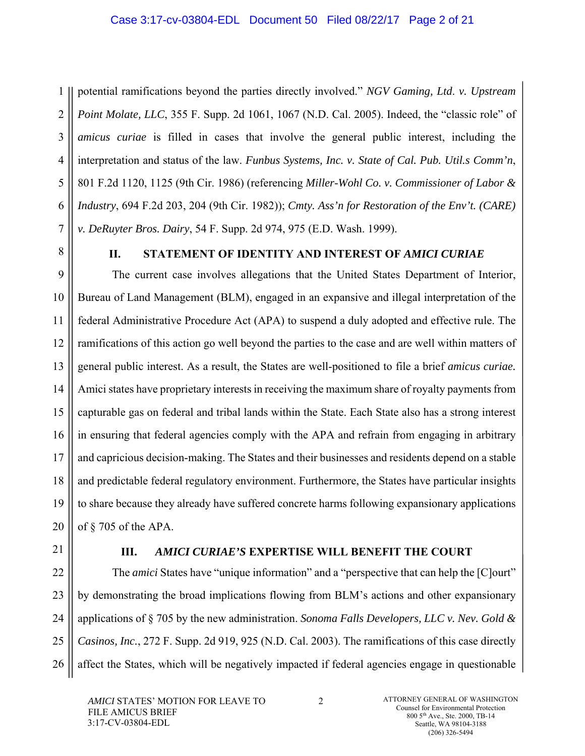1 2 3 4 5 6 7 potential ramifications beyond the parties directly involved." *NGV Gaming, Ltd*. *v. Upstream Point Molate, LLC*, 355 F. Supp. 2d 1061, 1067 (N.D. Cal. 2005). Indeed, the "classic role" of *amicus curiae* is filled in cases that involve the general public interest, including the interpretation and status of the law. *Funbus Systems, Inc. v. State of Cal. Pub. Util.s Comm'n*, 801 F.2d 1120, 1125 (9th Cir. 1986) (referencing *Miller-Wohl Co. v. Commissioner of Labor & Industry*, 694 F.2d 203, 204 (9th Cir. 1982)); *Cmty. Ass'n for Restoration of the Env't. (CARE) v. DeRuyter Bros. Dairy*, 54 F. Supp. 2d 974, 975 (E.D. Wash. 1999).

8

## **II. STATEMENT OF IDENTITY AND INTEREST OF** *AMICI CURIAE*

9 10 11 12 13 14 15 16 17 18 19 20 The current case involves allegations that the United States Department of Interior, Bureau of Land Management (BLM), engaged in an expansive and illegal interpretation of the federal Administrative Procedure Act (APA) to suspend a duly adopted and effective rule. The ramifications of this action go well beyond the parties to the case and are well within matters of general public interest. As a result, the States are well-positioned to file a brief *amicus curiae.* Amici states have proprietary interests in receiving the maximum share of royalty payments from capturable gas on federal and tribal lands within the State. Each State also has a strong interest in ensuring that federal agencies comply with the APA and refrain from engaging in arbitrary and capricious decision-making. The States and their businesses and residents depend on a stable and predictable federal regulatory environment. Furthermore, the States have particular insights to share because they already have suffered concrete harms following expansionary applications of § 705 of the APA.

21

## **III.** *AMICI CURIAE'S* **EXPERTISE WILL BENEFIT THE COURT**

22 23 24 25 26 The *amici* States have "unique information" and a "perspective that can help the [C]ourt" by demonstrating the broad implications flowing from BLM's actions and other expansionary applications of § 705 by the new administration. *Sonoma Falls Developers, LLC v. Nev. Gold & Casinos, Inc.*, 272 F. Supp. 2d 919, 925 (N.D. Cal. 2003). The ramifications of this case directly affect the States, which will be negatively impacted if federal agencies engage in questionable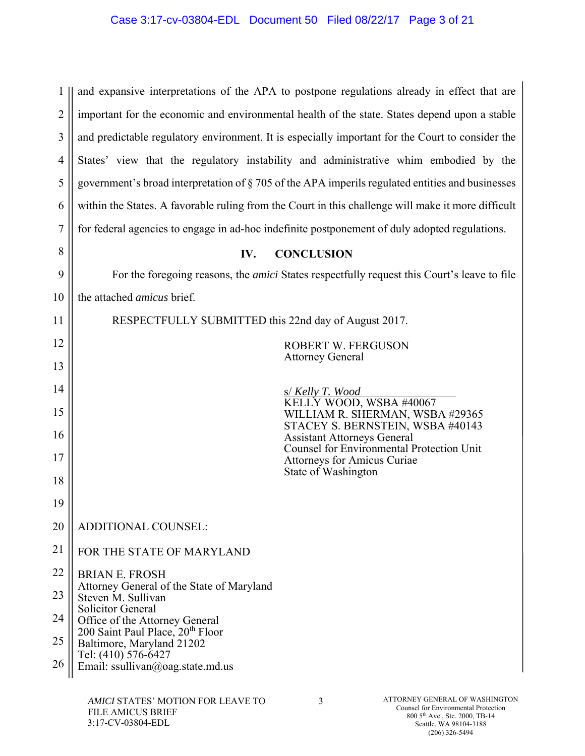| 1              | and expansive interpretations of the APA to postpone regulations already in effect that are                                                                                                                                               |  |
|----------------|-------------------------------------------------------------------------------------------------------------------------------------------------------------------------------------------------------------------------------------------|--|
| $\overline{2}$ | important for the economic and environmental health of the state. States depend upon a stable                                                                                                                                             |  |
| 3              | and predictable regulatory environment. It is especially important for the Court to consider the                                                                                                                                          |  |
| $\overline{4}$ | States' view that the regulatory instability and administrative whim embodied by the                                                                                                                                                      |  |
| 5              | government's broad interpretation of § 705 of the APA imperils regulated entities and businesses                                                                                                                                          |  |
| 6              | within the States. A favorable ruling from the Court in this challenge will make it more difficult                                                                                                                                        |  |
| $\tau$         | for federal agencies to engage in ad-hoc indefinite postponement of duly adopted regulations.                                                                                                                                             |  |
| 8              | <b>CONCLUSION</b><br>IV.                                                                                                                                                                                                                  |  |
| 9              | For the foregoing reasons, the <i>amici</i> States respectfully request this Court's leave to file                                                                                                                                        |  |
| 10             | the attached amicus brief.                                                                                                                                                                                                                |  |
| 11             | RESPECTFULLY SUBMITTED this 22nd day of August 2017.                                                                                                                                                                                      |  |
| 12             | ROBERT W. FERGUSON                                                                                                                                                                                                                        |  |
| 13             | <b>Attorney General</b>                                                                                                                                                                                                                   |  |
| 14             | s/ Kelly T. Wood                                                                                                                                                                                                                          |  |
| 15             | KELLY WOOD, WSBA #40067<br>WILLIAM R. SHERMAN, WSBA #29365<br>STACEY S. BERNSTEIN, WSBA #40143                                                                                                                                            |  |
| 16             | <b>Assistant Attorneys General</b><br><b>Counsel for Environmental Protection Unit</b>                                                                                                                                                    |  |
| 17             | <b>Attorneys for Amicus Curiae</b><br>State of Washington                                                                                                                                                                                 |  |
| 18             |                                                                                                                                                                                                                                           |  |
| 19             |                                                                                                                                                                                                                                           |  |
| 20             | ADDITIONAL COUNSEL:                                                                                                                                                                                                                       |  |
| 21             | FOR THE STATE OF MARYLAND                                                                                                                                                                                                                 |  |
| 22             | <b>BRIAN E. FROSH</b>                                                                                                                                                                                                                     |  |
| 23             | Attorney General of the State of Maryland<br>Steven M. Sullivan<br><b>Solicitor General</b>                                                                                                                                               |  |
| 24             | Office of the Attorney General<br>200 Saint Paul Place, 20 <sup>th</sup> Floor                                                                                                                                                            |  |
| 25             | Baltimore, Maryland 21202                                                                                                                                                                                                                 |  |
| 26             | Tel: (410) 576-6427<br>Email: ssullivan@oag.state.md.us                                                                                                                                                                                   |  |
|                | ATTORNEY GENERAL OF WASHINGTON<br>AMICI STATES' MOTION FOR LEAVE TO<br>3<br>Counsel for Environmental Protection<br><b>FILE AMICUS BRIEF</b><br>800 5 <sup>th</sup> Ave., Ste. 2000, TB-14<br>3:17-CV-03804-EDL<br>Seattle, WA 98104-3188 |  |

(206) 326-5494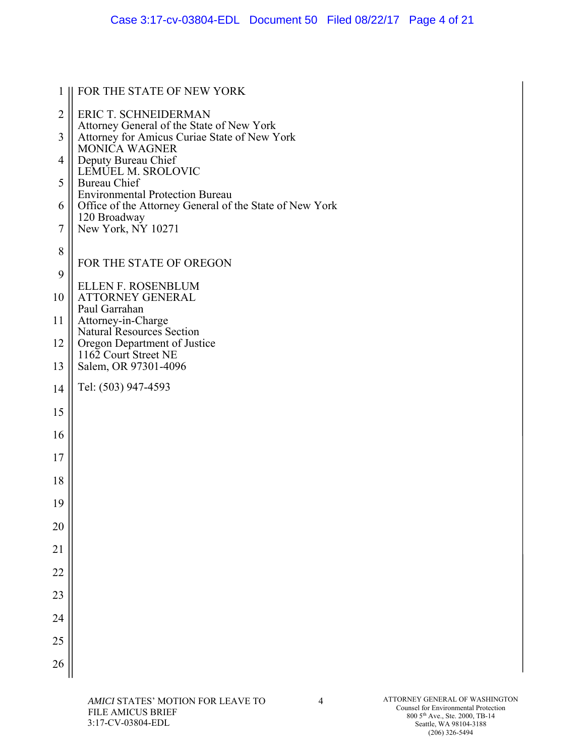| 1              | FOR THE STATE OF NEW YORK                                                |
|----------------|--------------------------------------------------------------------------|
| $\overline{c}$ | <b>ERIC T. SCHNEIDERMAN</b><br>Attorney General of the State of New York |
| 3              | Attorney for Amicus Curiae State of New York<br><b>MONICA WAGNER</b>     |
| $\overline{4}$ | Deputy Bureau Chief<br>LEMUEL M. SROLOVIC                                |
| 5              | <b>Bureau Chief</b><br><b>Environmental Protection Bureau</b>            |
| 6              | Office of the Attorney General of the State of New York<br>120 Broadway  |
| $\overline{7}$ | New York, NY 10271                                                       |
| 8              | FOR THE STATE OF OREGON                                                  |
| 9              | <b>ELLEN F. ROSENBLUM</b>                                                |
| 10             | <b>ATTORNEY GENERAL</b><br>Paul Garrahan                                 |
| 11             | Attorney-in-Charge<br>Natural Resources Section                          |
| 12             | Oregon Department of Justice<br>1162 Court Street NE                     |
| 13             | Salem, OR 97301-4096                                                     |
| 14             | Tel: (503) 947-4593                                                      |
| 15             |                                                                          |
| 16             |                                                                          |
| 17             |                                                                          |
| 18             |                                                                          |
| 19             |                                                                          |
| 20             |                                                                          |
| 21             |                                                                          |
| 22             |                                                                          |
| 23             |                                                                          |
| 24             |                                                                          |
| 25             |                                                                          |
| 26             |                                                                          |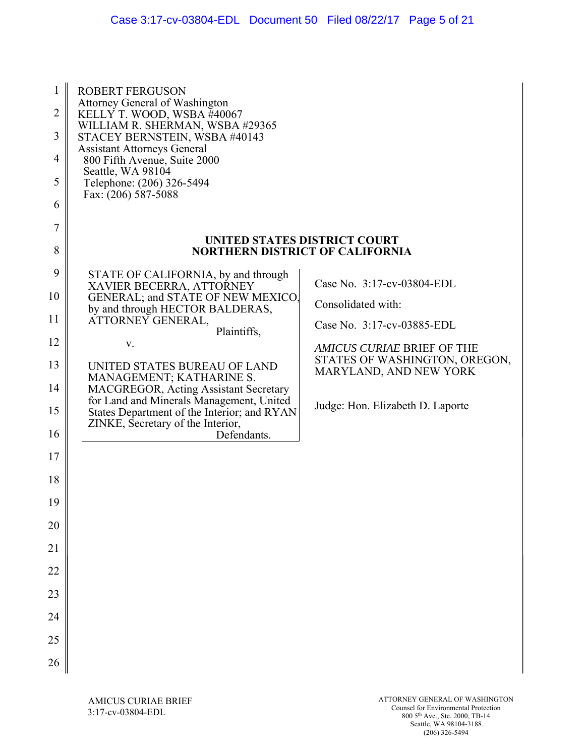| 1<br>$\overline{2}$<br>3<br>$\overline{4}$<br>5<br>6 | <b>ROBERT FERGUSON</b><br>Attorney General of Washington<br>KELLY T. WOOD, WSBA #40067<br>WILLIAM R. SHERMAN, WSBA #29365<br>STACEY BERNSTEIN, WSBA #40143<br><b>Assistant Attorneys General</b><br>800 Fifth Avenue, Suite 2000<br>Seattle, WA 98104<br>Telephone: (206) 326-5494<br>Fax: (206) 587-5088 |                                                                        |
|------------------------------------------------------|-----------------------------------------------------------------------------------------------------------------------------------------------------------------------------------------------------------------------------------------------------------------------------------------------------------|------------------------------------------------------------------------|
| 7<br>8                                               |                                                                                                                                                                                                                                                                                                           | UNITED STATES DISTRICT COURT<br><b>NORTHERN DISTRICT OF CALIFORNIA</b> |
|                                                      |                                                                                                                                                                                                                                                                                                           |                                                                        |
| 9                                                    | STATE OF CALIFORNIA, by and through<br>XAVIER BECERRA, ATTORNEY                                                                                                                                                                                                                                           | Case No. 3:17-cv-03804-EDL                                             |
| 10                                                   | GENERAL; and STATE OF NEW MEXICO.                                                                                                                                                                                                                                                                         | Consolidated with:                                                     |
| 11                                                   | by and through HECTOR BALDERAS,<br>ATTORNEY GENERAL,                                                                                                                                                                                                                                                      | Case No. 3:17-cv-03885-EDL                                             |
| 12                                                   | Plaintiffs,<br>V.                                                                                                                                                                                                                                                                                         | <b>AMICUS CURIAE BRIEF OF THE</b>                                      |
| 13                                                   | UNITED STATES BUREAU OF LAND                                                                                                                                                                                                                                                                              | STATES OF WASHINGTON, OREGON,<br>MARYLAND, AND NEW YORK                |
| 14                                                   | MANAGEMENT; KATHARINE S.<br>MACGREGOR, Acting Assistant Secretary                                                                                                                                                                                                                                         |                                                                        |
| 15                                                   | for Land and Minerals Management, United<br>States Department of the Interior; and RYAN<br>ZINKE, Secretary of the Interior,                                                                                                                                                                              | Judge: Hon. Elizabeth D. Laporte                                       |
| 16                                                   | Defendants.                                                                                                                                                                                                                                                                                               |                                                                        |
| 17                                                   |                                                                                                                                                                                                                                                                                                           |                                                                        |
| 18                                                   |                                                                                                                                                                                                                                                                                                           |                                                                        |
| 19                                                   |                                                                                                                                                                                                                                                                                                           |                                                                        |
| 20                                                   |                                                                                                                                                                                                                                                                                                           |                                                                        |
| 21                                                   |                                                                                                                                                                                                                                                                                                           |                                                                        |
| 22                                                   |                                                                                                                                                                                                                                                                                                           |                                                                        |
| 23                                                   |                                                                                                                                                                                                                                                                                                           |                                                                        |
| 24                                                   |                                                                                                                                                                                                                                                                                                           |                                                                        |
| 25                                                   |                                                                                                                                                                                                                                                                                                           |                                                                        |
| 26                                                   |                                                                                                                                                                                                                                                                                                           |                                                                        |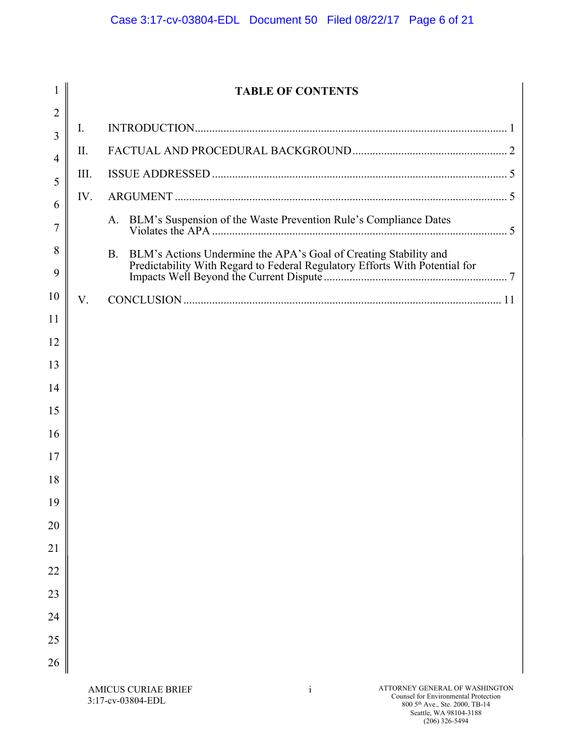| 1              |      | <b>TABLE OF CONTENTS</b>                                                                                                                                     |
|----------------|------|--------------------------------------------------------------------------------------------------------------------------------------------------------------|
| $\overline{2}$ |      |                                                                                                                                                              |
| 3              | I.   |                                                                                                                                                              |
| 4              | II.  |                                                                                                                                                              |
| 5              | III. |                                                                                                                                                              |
| 6              | IV.  |                                                                                                                                                              |
| 7              |      | BLM's Suspension of the Waste Prevention Rule's Compliance Dates<br>A.                                                                                       |
| 8<br>9         |      | <b>B.</b><br>BLM's Actions Undermine the APA's Goal of Creating Stability and<br>Predictability With Regard to Federal Regulatory Efforts With Potential for |
| 10             | V.   |                                                                                                                                                              |
| 11             |      |                                                                                                                                                              |
| 12             |      |                                                                                                                                                              |
| 13             |      |                                                                                                                                                              |
| 14             |      |                                                                                                                                                              |
| 15             |      |                                                                                                                                                              |
| 16             |      |                                                                                                                                                              |
| 17             |      |                                                                                                                                                              |
| 18             |      |                                                                                                                                                              |
| 19             |      |                                                                                                                                                              |
| 20             |      |                                                                                                                                                              |
| 21             |      |                                                                                                                                                              |
| 22             |      |                                                                                                                                                              |
| 23             |      |                                                                                                                                                              |
| 24             |      |                                                                                                                                                              |
| 25             |      |                                                                                                                                                              |
| 26             |      |                                                                                                                                                              |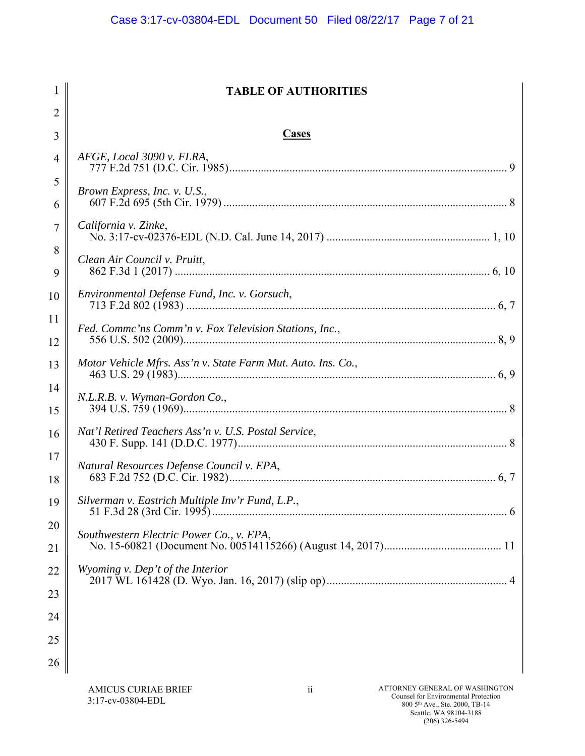| $\mathbf{1}$   | <b>TABLE OF AUTHORITIES</b>                                  |
|----------------|--------------------------------------------------------------|
| $\overline{2}$ |                                                              |
| 3              | <b>Cases</b>                                                 |
| 4              | AFGE, Local 3090 v. FLRA,                                    |
| 5              | Brown Express, Inc. v. U.S.,                                 |
| 6              | California v. Zinke,                                         |
| 7              |                                                              |
| 8<br>9         | Clean Air Council v. Pruitt,                                 |
| 10             | Environmental Defense Fund, Inc. v. Gorsuch,                 |
| 11             | Fed. Commc'ns Comm'n v. Fox Television Stations, Inc.,       |
| 12             |                                                              |
| 13             | Motor Vehicle Mfrs. Ass'n v. State Farm Mut. Auto. Ins. Co., |
| 14<br>15       | N.L.R.B. v. Wyman-Gordon Co.,                                |
| 16             | Nat'l Retired Teachers Ass'n v. U.S. Postal Service,         |
| 17<br>18       | Natural Resources Defense Council v. EPA,                    |
| 19             | Silverman v. Eastrich Multiple Inv'r Fund, L.P.,             |
| 20             | Southwestern Electric Power Co., v. EPA,                     |
| 21             |                                                              |
| 22             | Wyoming v. Dep't of the Interior                             |
| 23             |                                                              |
| 24             |                                                              |
| 25             |                                                              |
| 26             |                                                              |
|                |                                                              |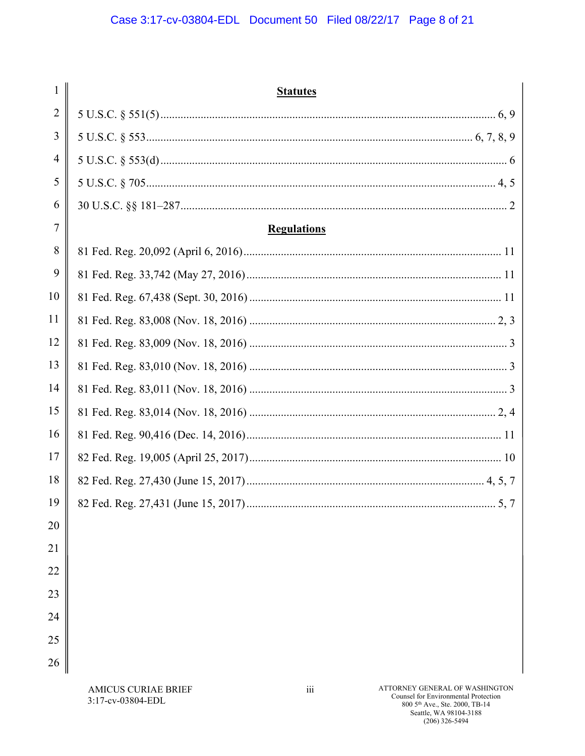| 1              | <b>Statutes</b>                             |
|----------------|---------------------------------------------|
| $\overline{2}$ |                                             |
| 3              |                                             |
| $\overline{4}$ |                                             |
| 5              |                                             |
| 6              |                                             |
| 7              | <b>Regulations</b>                          |
| 8              |                                             |
| 9              |                                             |
| 10             |                                             |
| 11             |                                             |
| 12             |                                             |
| 13             |                                             |
| 14             |                                             |
| 15             |                                             |
| 16             |                                             |
| 17             |                                             |
| 18             |                                             |
| 19             | 82 Fed. Reg. 27,431 (June 15, 2017)<br>5, 7 |
| 20             |                                             |
| 21             |                                             |
| 22             |                                             |
| 23             |                                             |
| 24             |                                             |
| 25             |                                             |
| 26             |                                             |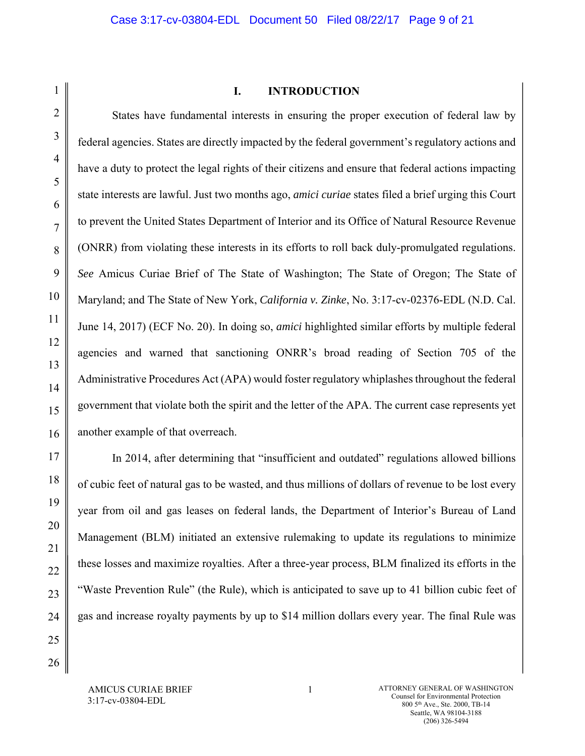### **I. INTRODUCTION**

States have fundamental interests in ensuring the proper execution of federal law by federal agencies. States are directly impacted by the federal government's regulatory actions and have a duty to protect the legal rights of their citizens and ensure that federal actions impacting state interests are lawful. Just two months ago, *amici curiae* states filed a brief urging this Court to prevent the United States Department of Interior and its Office of Natural Resource Revenue (ONRR) from violating these interests in its efforts to roll back duly-promulgated regulations. *See* Amicus Curiae Brief of The State of Washington; The State of Oregon; The State of Maryland; and The State of New York, *California v. Zinke*, No. 3:17-cv-02376-EDL (N.D. Cal. June 14, 2017) (ECF No. 20). In doing so, *amici* highlighted similar efforts by multiple federal agencies and warned that sanctioning ONRR's broad reading of Section 705 of the Administrative Procedures Act (APA) would foster regulatory whiplashes throughout the federal government that violate both the spirit and the letter of the APA. The current case represents yet another example of that overreach.

In 2014, after determining that "insufficient and outdated" regulations allowed billions of cubic feet of natural gas to be wasted, and thus millions of dollars of revenue to be lost every year from oil and gas leases on federal lands, the Department of Interior's Bureau of Land Management (BLM) initiated an extensive rulemaking to update its regulations to minimize these losses and maximize royalties. After a three-year process, BLM finalized its efforts in the "Waste Prevention Rule" (the Rule), which is anticipated to save up to 41 billion cubic feet of gas and increase royalty payments by up to \$14 million dollars every year. The final Rule was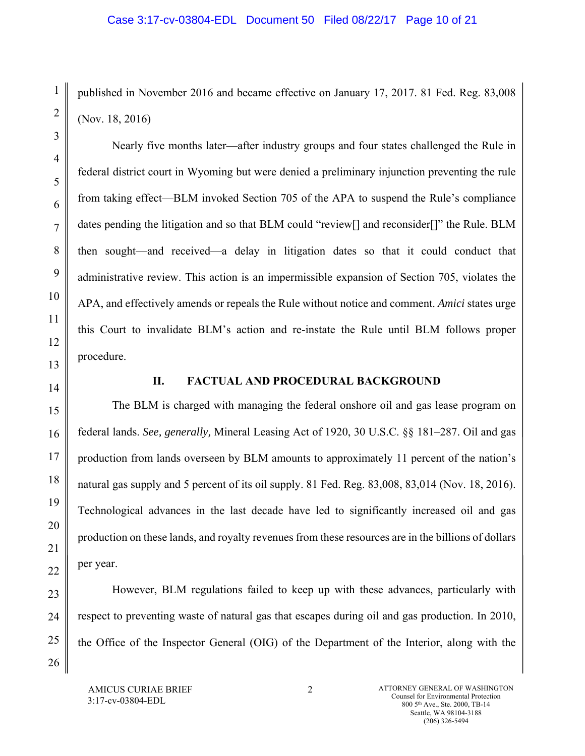published in November 2016 and became effective on January 17, 2017. 81 Fed. Reg. 83,008 (Nov. 18, 2016)

Nearly five months later—after industry groups and four states challenged the Rule in federal district court in Wyoming but were denied a preliminary injunction preventing the rule from taking effect—BLM invoked Section 705 of the APA to suspend the Rule's compliance dates pending the litigation and so that BLM could "review[] and reconsider[]" the Rule. BLM then sought—and received—a delay in litigation dates so that it could conduct that administrative review. This action is an impermissible expansion of Section 705, violates the APA, and effectively amends or repeals the Rule without notice and comment. *Amici* states urge this Court to invalidate BLM's action and re-instate the Rule until BLM follows proper procedure.

1

2

3

4

5

6

7

8

9

10

11

12

13

14

15

16

17

18

19

20

21

22

23

24

25

26

### **II. FACTUAL AND PROCEDURAL BACKGROUND**

The BLM is charged with managing the federal onshore oil and gas lease program on federal lands. *See, generally,* Mineral Leasing Act of 1920, 30 U.S.C. §§ 181–287. Oil and gas production from lands overseen by BLM amounts to approximately 11 percent of the nation's natural gas supply and 5 percent of its oil supply. 81 Fed. Reg. 83,008, 83,014 (Nov. 18, 2016). Technological advances in the last decade have led to significantly increased oil and gas production on these lands, and royalty revenues from these resources are in the billions of dollars per year.

However, BLM regulations failed to keep up with these advances, particularly with respect to preventing waste of natural gas that escapes during oil and gas production. In 2010, the Office of the Inspector General (OIG) of the Department of the Interior, along with the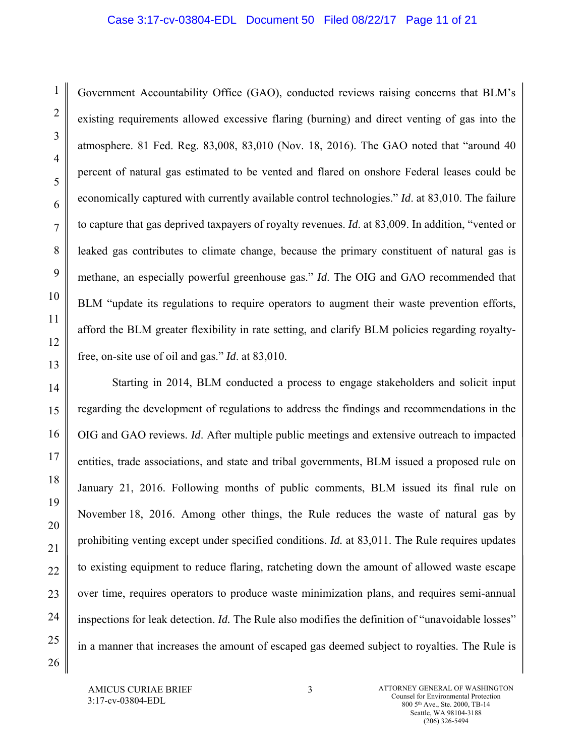#### Case 3:17-cv-03804-EDL Document 50 Filed 08/22/17 Page 11 of 21

Government Accountability Office (GAO), conducted reviews raising concerns that BLM's existing requirements allowed excessive flaring (burning) and direct venting of gas into the atmosphere. 81 Fed. Reg. 83,008, 83,010 (Nov. 18, 2016). The GAO noted that "around 40 percent of natural gas estimated to be vented and flared on onshore Federal leases could be economically captured with currently available control technologies." *Id*. at 83,010. The failure to capture that gas deprived taxpayers of royalty revenues. *Id*. at 83,009. In addition, "vented or leaked gas contributes to climate change, because the primary constituent of natural gas is methane, an especially powerful greenhouse gas." *Id*. The OIG and GAO recommended that BLM "update its regulations to require operators to augment their waste prevention efforts, afford the BLM greater flexibility in rate setting, and clarify BLM policies regarding royaltyfree, on-site use of oil and gas." *Id*. at 83,010.

Starting in 2014, BLM conducted a process to engage stakeholders and solicit input regarding the development of regulations to address the findings and recommendations in the OIG and GAO reviews. *Id*. After multiple public meetings and extensive outreach to impacted entities, trade associations, and state and tribal governments, BLM issued a proposed rule on January 21, 2016. Following months of public comments, BLM issued its final rule on November 18, 2016. Among other things, the Rule reduces the waste of natural gas by prohibiting venting except under specified conditions. *Id.* at 83,011. The Rule requires updates to existing equipment to reduce flaring, ratcheting down the amount of allowed waste escape over time, requires operators to produce waste minimization plans, and requires semi-annual inspections for leak detection. *Id.* The Rule also modifies the definition of "unavoidable losses" in a manner that increases the amount of escaped gas deemed subject to royalties. The Rule is

AMICUS CURIAE BRIEF 3:17-cv-03804-EDL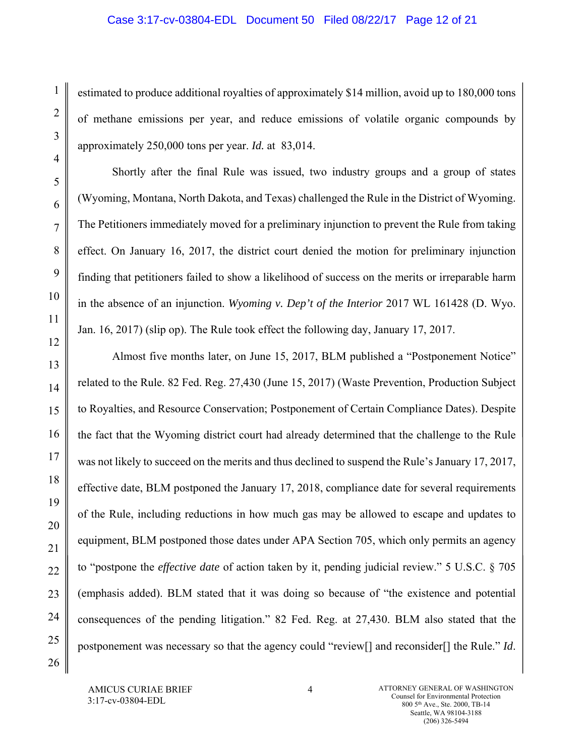estimated to produce additional royalties of approximately \$14 million, avoid up to 180,000 tons of methane emissions per year, and reduce emissions of volatile organic compounds by approximately 250,000 tons per year. *Id.* at 83,014.

Shortly after the final Rule was issued, two industry groups and a group of states (Wyoming, Montana, North Dakota, and Texas) challenged the Rule in the District of Wyoming. The Petitioners immediately moved for a preliminary injunction to prevent the Rule from taking effect. On January 16, 2017, the district court denied the motion for preliminary injunction finding that petitioners failed to show a likelihood of success on the merits or irreparable harm in the absence of an injunction. *Wyoming v. Dep't of the Interior* 2017 WL 161428 (D. Wyo. Jan. 16, 2017) (slip op). The Rule took effect the following day, January 17, 2017.

Almost five months later, on June 15, 2017, BLM published a "Postponement Notice" related to the Rule. 82 Fed. Reg. 27,430 (June 15, 2017) (Waste Prevention, Production Subject to Royalties, and Resource Conservation; Postponement of Certain Compliance Dates). Despite the fact that the Wyoming district court had already determined that the challenge to the Rule was not likely to succeed on the merits and thus declined to suspend the Rule's January 17, 2017, effective date, BLM postponed the January 17, 2018, compliance date for several requirements of the Rule, including reductions in how much gas may be allowed to escape and updates to equipment, BLM postponed those dates under APA Section 705, which only permits an agency to "postpone the *effective date* of action taken by it, pending judicial review." 5 U.S.C. § 705 (emphasis added). BLM stated that it was doing so because of "the existence and potential consequences of the pending litigation." 82 Fed. Reg. at 27,430. BLM also stated that the postponement was necessary so that the agency could "review[] and reconsider[] the Rule." *Id*.

1

2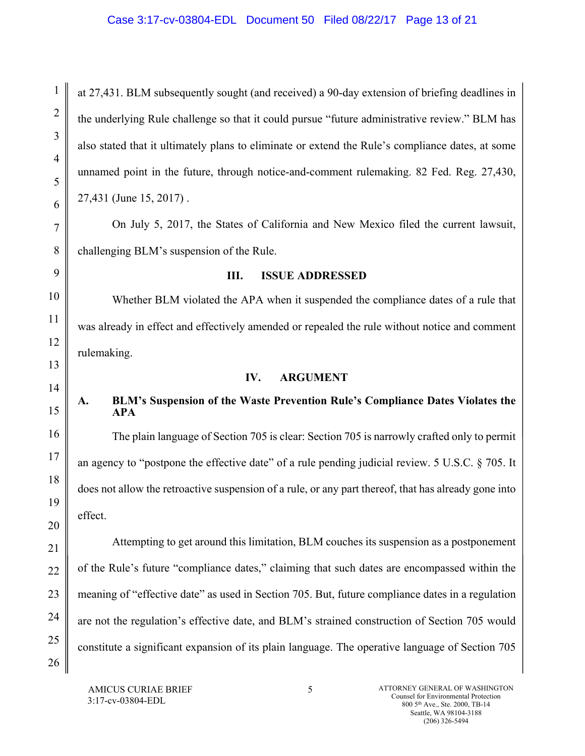at 27,431. BLM subsequently sought (and received) a 90-day extension of briefing deadlines in the underlying Rule challenge so that it could pursue "future administrative review." BLM has also stated that it ultimately plans to eliminate or extend the Rule's compliance dates, at some unnamed point in the future, through notice-and-comment rulemaking. 82 Fed. Reg. 27,430, 27,431 (June 15, 2017) .

On July 5, 2017, the States of California and New Mexico filed the current lawsuit, challenging BLM's suspension of the Rule.

## **III. ISSUE ADDRESSED**

Whether BLM violated the APA when it suspended the compliance dates of a rule that was already in effect and effectively amended or repealed the rule without notice and comment rulemaking.

## **IV. ARGUMENT**

## **A. BLM's Suspension of the Waste Prevention Rule's Compliance Dates Violates the APA**

The plain language of Section 705 is clear: Section 705 is narrowly crafted only to permit an agency to "postpone the effective date" of a rule pending judicial review. 5 U.S.C. § 705. It does not allow the retroactive suspension of a rule, or any part thereof, that has already gone into effect.

Attempting to get around this limitation, BLM couches its suspension as a postponement of the Rule's future "compliance dates," claiming that such dates are encompassed within the meaning of "effective date" as used in Section 705. But, future compliance dates in a regulation are not the regulation's effective date, and BLM's strained construction of Section 705 would constitute a significant expansion of its plain language. The operative language of Section 705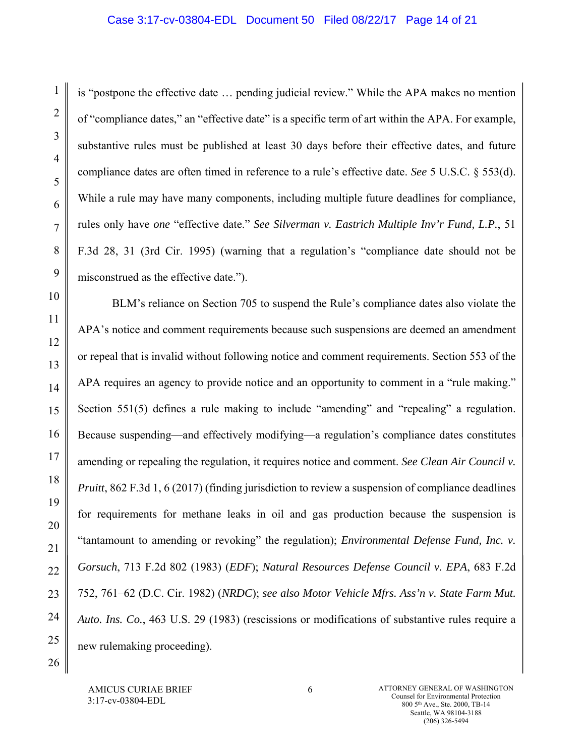## Case 3:17-cv-03804-EDL Document 50 Filed 08/22/17 Page 14 of 21

is "postpone the effective date … pending judicial review." While the APA makes no mention of "compliance dates," an "effective date" is a specific term of art within the APA. For example, substantive rules must be published at least 30 days before their effective dates, and future compliance dates are often timed in reference to a rule's effective date. *See* 5 U.S.C. § 553(d). While a rule may have many components, including multiple future deadlines for compliance, rules only have *one* "effective date." *See Silverman v. Eastrich Multiple Inv'r Fund, L.P.*, 51 F.3d 28, 31 (3rd Cir. 1995) (warning that a regulation's "compliance date should not be misconstrued as the effective date.").

BLM's reliance on Section 705 to suspend the Rule's compliance dates also violate the APA's notice and comment requirements because such suspensions are deemed an amendment or repeal that is invalid without following notice and comment requirements. Section 553 of the APA requires an agency to provide notice and an opportunity to comment in a "rule making." Section 551(5) defines a rule making to include "amending" and "repealing" a regulation. Because suspending—and effectively modifying—a regulation's compliance dates constitutes amending or repealing the regulation, it requires notice and comment. *See Clean Air Council v. Pruitt*, 862 F.3d 1, 6 (2017) (finding jurisdiction to review a suspension of compliance deadlines for requirements for methane leaks in oil and gas production because the suspension is "tantamount to amending or revoking" the regulation); *Environmental Defense Fund, Inc. v. Gorsuch*, 713 F.2d 802 (1983) (*EDF*); *Natural Resources Defense Council v. EPA*, 683 F.2d 752, 761–62 (D.C. Cir. 1982) (*NRDC*); *see also Motor Vehicle Mfrs. Ass'n v. State Farm Mut. Auto. Ins. Co.*, 463 U.S. 29 (1983) (rescissions or modifications of substantive rules require a new rulemaking proceeding).

AMICUS CURIAE BRIEF 3:17-cv-03804-EDL

1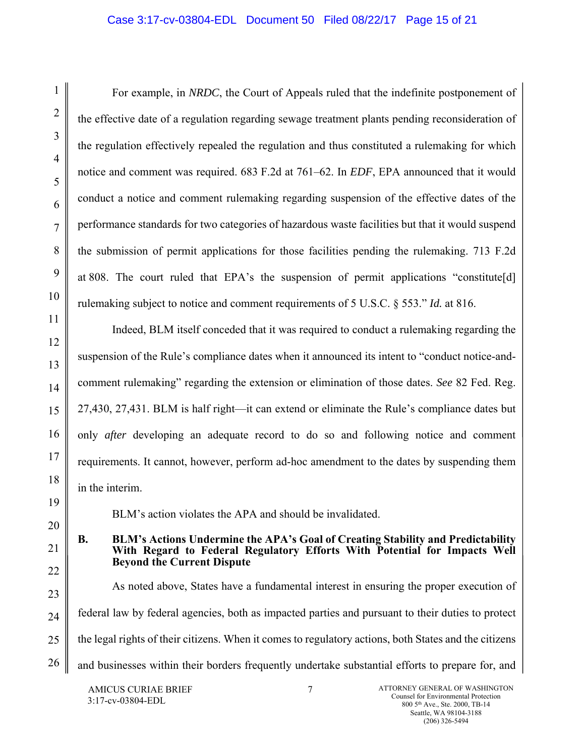## Case 3:17-cv-03804-EDL Document 50 Filed 08/22/17 Page 15 of 21

For example, in *NRDC*, the Court of Appeals ruled that the indefinite postponement of the effective date of a regulation regarding sewage treatment plants pending reconsideration of the regulation effectively repealed the regulation and thus constituted a rulemaking for which notice and comment was required. 683 F.2d at 761–62. In *EDF*, EPA announced that it would conduct a notice and comment rulemaking regarding suspension of the effective dates of the performance standards for two categories of hazardous waste facilities but that it would suspend the submission of permit applications for those facilities pending the rulemaking. 713 F.2d at 808. The court ruled that EPA's the suspension of permit applications "constitute[d] rulemaking subject to notice and comment requirements of 5 U.S.C. § 553." *Id.* at 816.

Indeed, BLM itself conceded that it was required to conduct a rulemaking regarding the suspension of the Rule's compliance dates when it announced its intent to "conduct notice-andcomment rulemaking" regarding the extension or elimination of those dates. *See* 82 Fed. Reg. 27,430, 27,431. BLM is half right—it can extend or eliminate the Rule's compliance dates but only *after* developing an adequate record to do so and following notice and comment requirements. It cannot, however, perform ad-hoc amendment to the dates by suspending them in the interim.

BLM's action violates the APA and should be invalidated.

**B. BLM's Actions Undermine the APA's Goal of Creating Stability and Predictability With Regard to Federal Regulatory Efforts With Potential for Impacts Well Beyond the Current Dispute** 

As noted above, States have a fundamental interest in ensuring the proper execution of federal law by federal agencies, both as impacted parties and pursuant to their duties to protect the legal rights of their citizens. When it comes to regulatory actions, both States and the citizens and businesses within their borders frequently undertake substantial efforts to prepare for, and

AMICUS CURIAE BRIEF 3:17-cv-03804-EDL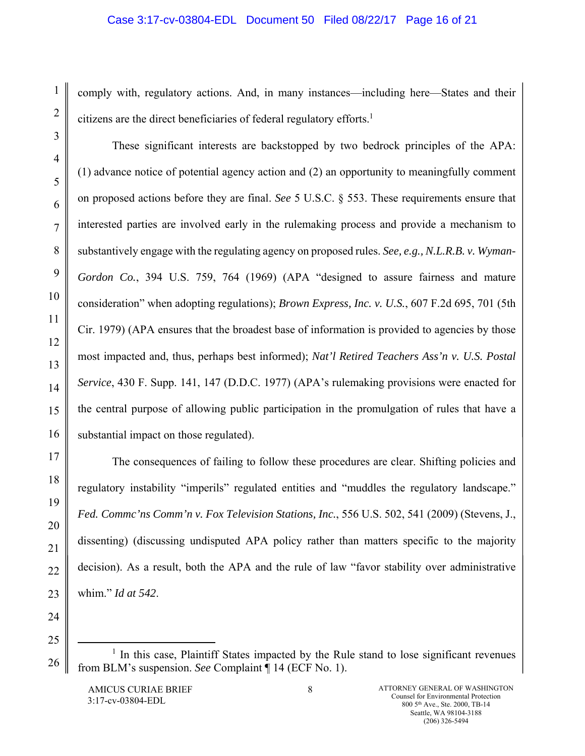## Case 3:17-cv-03804-EDL Document 50 Filed 08/22/17 Page 16 of 21

comply with, regulatory actions. And, in many instances—including here—States and their citizens are the direct beneficiaries of federal regulatory efforts.<sup>1</sup>

These significant interests are backstopped by two bedrock principles of the APA: (1) advance notice of potential agency action and (2) an opportunity to meaningfully comment on proposed actions before they are final. *See* 5 U.S.C. § 553. These requirements ensure that interested parties are involved early in the rulemaking process and provide a mechanism to substantively engage with the regulating agency on proposed rules. *See, e.g., N.L.R.B. v. Wyman-Gordon Co.*, 394 U.S. 759, 764 (1969) (APA "designed to assure fairness and mature consideration" when adopting regulations); *Brown Express, Inc. v. U.S.*, 607 F.2d 695, 701 (5th Cir. 1979) (APA ensures that the broadest base of information is provided to agencies by those most impacted and, thus, perhaps best informed); *Nat'l Retired Teachers Ass'n v. U.S. Postal Service*, 430 F. Supp. 141, 147 (D.D.C. 1977) (APA's rulemaking provisions were enacted for the central purpose of allowing public participation in the promulgation of rules that have a substantial impact on those regulated).

The consequences of failing to follow these procedures are clear. Shifting policies and regulatory instability "imperils" regulated entities and "muddles the regulatory landscape." *Fed. Commc'ns Comm'n v. Fox Television Stations, Inc.*, 556 U.S. 502, 541 (2009) (Stevens, J., dissenting) (discussing undisputed APA policy rather than matters specific to the majority decision). As a result, both the APA and the rule of law "favor stability over administrative whim." *Id at 542*.

 $\frac{1}{1}$  $<sup>1</sup>$  In this case, Plaintiff States impacted by the Rule stand to lose significant revenues</sup> from BLM's suspension. *See* Complaint ¶ 14 (ECF No. 1).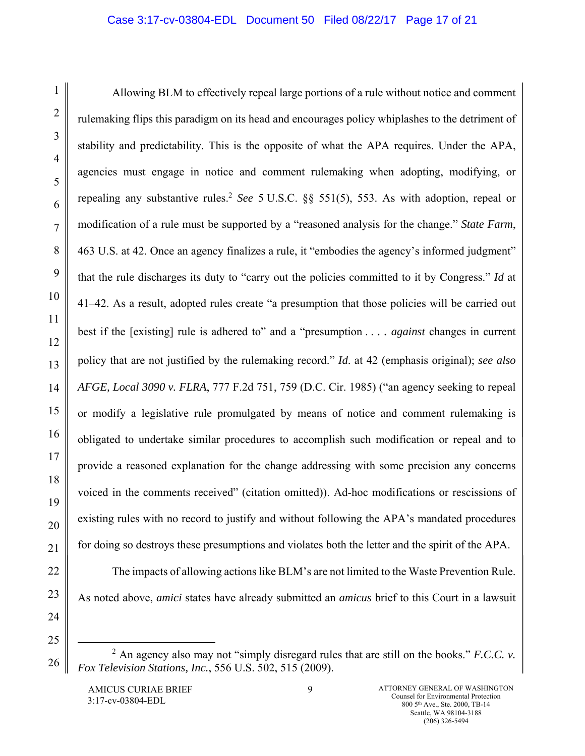## Case 3:17-cv-03804-EDL Document 50 Filed 08/22/17 Page 17 of 21

Allowing BLM to effectively repeal large portions of a rule without notice and comment rulemaking flips this paradigm on its head and encourages policy whiplashes to the detriment of stability and predictability. This is the opposite of what the APA requires. Under the APA, agencies must engage in notice and comment rulemaking when adopting, modifying, or repealing any substantive rules.2 *See* 5 U.S.C. §§ 551(5), 553. As with adoption, repeal or modification of a rule must be supported by a "reasoned analysis for the change." *State Farm*, 463 U.S. at 42. Once an agency finalizes a rule, it "embodies the agency's informed judgment" that the rule discharges its duty to "carry out the policies committed to it by Congress." *Id* at 41–42. As a result, adopted rules create "a presumption that those policies will be carried out best if the [existing] rule is adhered to" and a "presumption . . . . *against* changes in current policy that are not justified by the rulemaking record." *Id*. at 42 (emphasis original); *see also AFGE, Local 3090 v. FLRA*, 777 F.2d 751, 759 (D.C. Cir. 1985) ("an agency seeking to repeal or modify a legislative rule promulgated by means of notice and comment rulemaking is obligated to undertake similar procedures to accomplish such modification or repeal and to provide a reasoned explanation for the change addressing with some precision any concerns voiced in the comments received" (citation omitted)). Ad-hoc modifications or rescissions of existing rules with no record to justify and without following the APA's mandated procedures for doing so destroys these presumptions and violates both the letter and the spirit of the APA.

As noted above, *amici* states have already submitted an *amicus* brief to this Court in a lawsuit

AMICUS CURIAE BRIEF 3:17-cv-03804-EDL

The impacts of allowing actions like BLM's are not limited to the Waste Prevention Rule.

 $\frac{1}{2}$  $^2$  An agency also may not "simply disregard rules that are still on the books." *F.C.C. v. Fox Television Stations, Inc.*, 556 U.S. 502, 515 (2009).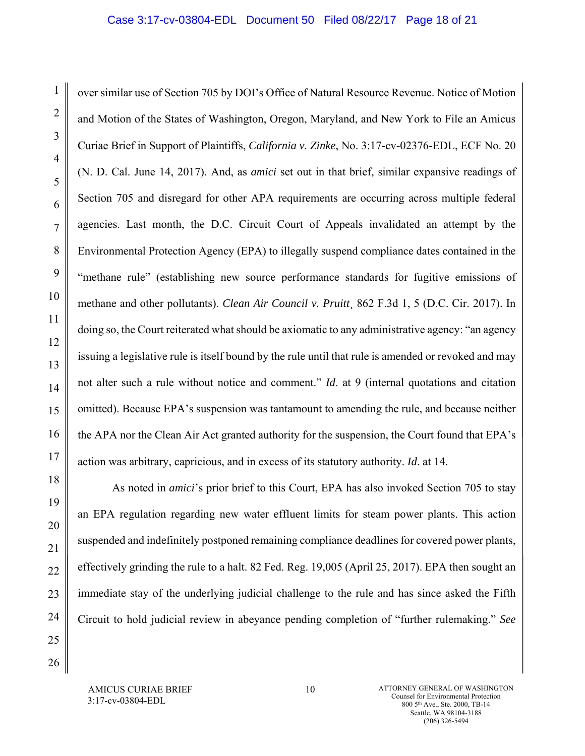over similar use of Section 705 by DOI's Office of Natural Resource Revenue. Notice of Motion and Motion of the States of Washington, Oregon, Maryland, and New York to File an Amicus Curiae Brief in Support of Plaintiffs, *California v. Zinke*, No. 3:17-cv-02376-EDL, ECF No. 20 (N. D. Cal. June 14, 2017). And, as *amici* set out in that brief, similar expansive readings of Section 705 and disregard for other APA requirements are occurring across multiple federal agencies. Last month, the D.C. Circuit Court of Appeals invalidated an attempt by the Environmental Protection Agency (EPA) to illegally suspend compliance dates contained in the "methane rule" (establishing new source performance standards for fugitive emissions of methane and other pollutants). *Clean Air Council v. Pruitt*, 862 F.3d 1, 5 (D.C. Cir. 2017). In doing so, the Court reiterated what should be axiomatic to any administrative agency: "an agency issuing a legislative rule is itself bound by the rule until that rule is amended or revoked and may not alter such a rule without notice and comment." *Id*. at 9 (internal quotations and citation omitted). Because EPA's suspension was tantamount to amending the rule, and because neither the APA nor the Clean Air Act granted authority for the suspension, the Court found that EPA's action was arbitrary, capricious, and in excess of its statutory authority. *Id*. at 14.

As noted in *amici*'s prior brief to this Court, EPA has also invoked Section 705 to stay an EPA regulation regarding new water effluent limits for steam power plants. This action suspended and indefinitely postponed remaining compliance deadlines for covered power plants, effectively grinding the rule to a halt. 82 Fed. Reg. 19,005 (April 25, 2017). EPA then sought an immediate stay of the underlying judicial challenge to the rule and has since asked the Fifth Circuit to hold judicial review in abeyance pending completion of "further rulemaking." *See*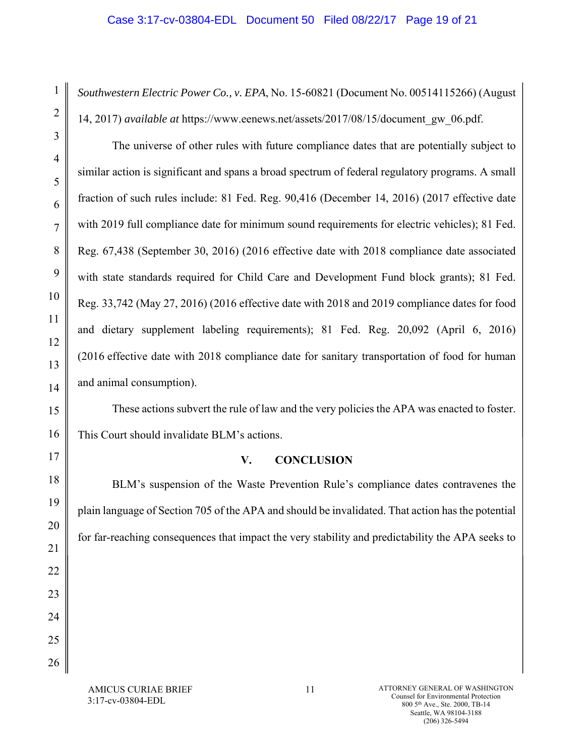### Case 3:17-cv-03804-EDL Document 50 Filed 08/22/17 Page 19 of 21

*Southwestern Electric Power Co., v. EPA*, No. 15-60821 (Document No. 00514115266) (August 14, 2017) *available at* https://www.eenews.net/assets/2017/08/15/document\_gw\_06.pdf.

The universe of other rules with future compliance dates that are potentially subject to similar action is significant and spans a broad spectrum of federal regulatory programs. A small fraction of such rules include: 81 Fed. Reg. 90,416 (December 14, 2016) (2017 effective date with 2019 full compliance date for minimum sound requirements for electric vehicles); 81 Fed. Reg. 67,438 (September 30, 2016) (2016 effective date with 2018 compliance date associated with state standards required for Child Care and Development Fund block grants); 81 Fed. Reg. 33,742 (May 27, 2016) (2016 effective date with 2018 and 2019 compliance dates for food and dietary supplement labeling requirements); 81 Fed. Reg. 20,092 (April 6, 2016) (2016 effective date with 2018 compliance date for sanitary transportation of food for human and animal consumption).

These actions subvert the rule of law and the very policies the APA was enacted to foster. This Court should invalidate BLM's actions.

## **V. CONCLUSION**

BLM's suspension of the Waste Prevention Rule's compliance dates contravenes the plain language of Section 705 of the APA and should be invalidated. That action has the potential for far-reaching consequences that impact the very stability and predictability the APA seeks to

AMICUS CURIAE BRIEF 3:17-cv-03804-EDL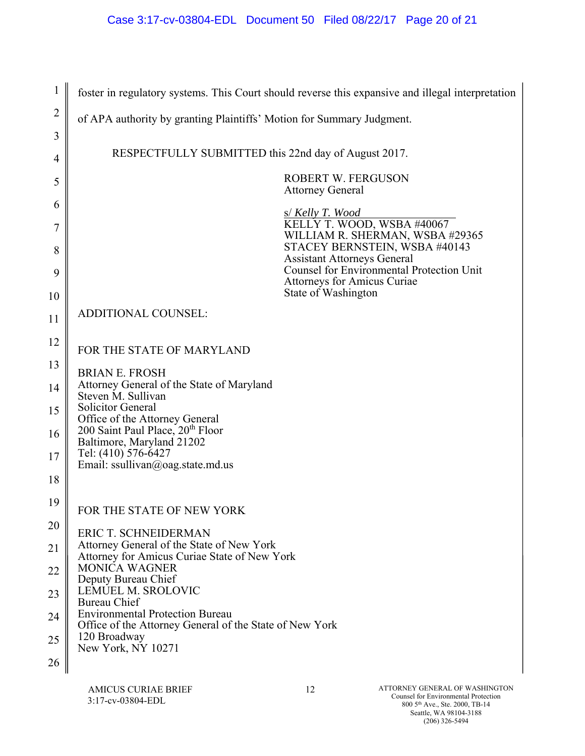| 1              | foster in regulatory systems. This Court should reverse this expansive and illegal interpretation |
|----------------|---------------------------------------------------------------------------------------------------|
| $\overline{2}$ | of APA authority by granting Plaintiffs' Motion for Summary Judgment.                             |
| 3              |                                                                                                   |
| 4              | RESPECTFULLY SUBMITTED this 22nd day of August 2017.                                              |
| 5              | <b>ROBERT W. FERGUSON</b><br><b>Attorney General</b>                                              |
| 6              | s/ Kelly T. Wood                                                                                  |
| 7              | KELLY T. WOOD, WSBA #40067<br>WILLIAM R. SHERMAN, WSBA #29365                                     |
| 8              | STACEY BERNSTEIN, WSBA #40143<br><b>Assistant Attorneys General</b>                               |
| 9              | <b>Counsel for Environmental Protection Unit</b><br>Attorneys for Amicus Curiae                   |
| 10             | State of Washington                                                                               |
| 11             | <b>ADDITIONAL COUNSEL:</b>                                                                        |
| 12             | FOR THE STATE OF MARYLAND                                                                         |
| 13             | <b>BRIAN E. FROSH</b>                                                                             |
| 14             | Attorney General of the State of Maryland<br>Steven M. Sullivan                                   |
| 15             | <b>Solicitor General</b><br>Office of the Attorney General                                        |
| 16             | 200 Saint Paul Place, 20 <sup>th</sup> Floor<br>Baltimore, Maryland 21202                         |
| 17             | Tel: (410) 576-6427<br>Email: ssullivan@oag.state.md.us                                           |
| 18             |                                                                                                   |
| 19             | FOR THE STATE OF NEW YORK                                                                         |
| 20             | <b>ERIC T. SCHNEIDERMAN</b>                                                                       |
| 21             | Attorney General of the State of New York<br>Attorney for Amicus Curiae State of New York         |
| 22             | MONICA WAGNER<br>Deputy Bureau Chief                                                              |
| 23             | LEMUEL M. SROLOVIC<br><b>Bureau Chief</b>                                                         |
| 24             | <b>Environmental Protection Bureau</b><br>Office of the Attorney General of the State of New York |
| 25             | 120 Broadway<br>New York, NY 10271                                                                |
| 26             |                                                                                                   |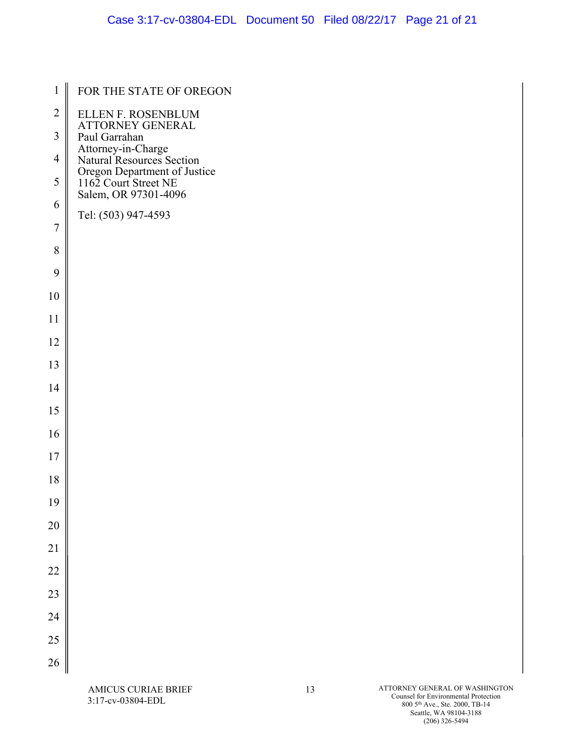| $\mathbf{1}$   | FOR THE STATE OF OREGON                              |
|----------------|------------------------------------------------------|
| $\overline{2}$ | ELLEN F. ROSENBLUM                                   |
| $\mathfrak{Z}$ | ATTORNEY GENERAL<br>Paul Garrahan                    |
| $\overline{4}$ | Attorney-in-Charge<br>Natural Resources Section      |
| 5              | Oregon Department of Justice<br>1162 Court Street NE |
| 6              | Salem, OR 97301-4096<br>Tel: (503) 947-4593          |
| $\overline{7}$ |                                                      |
| 8              |                                                      |
| 9              |                                                      |
| 10             |                                                      |
| 11             |                                                      |
| 12             |                                                      |
| 13             |                                                      |
| 14             |                                                      |
| 15             |                                                      |
| 16             |                                                      |
| 17             |                                                      |
| 18             |                                                      |
| 19             |                                                      |
| 20             |                                                      |
| 21             |                                                      |
| 22             |                                                      |
| 23             |                                                      |
| 24             |                                                      |
| 25             |                                                      |
| 26             |                                                      |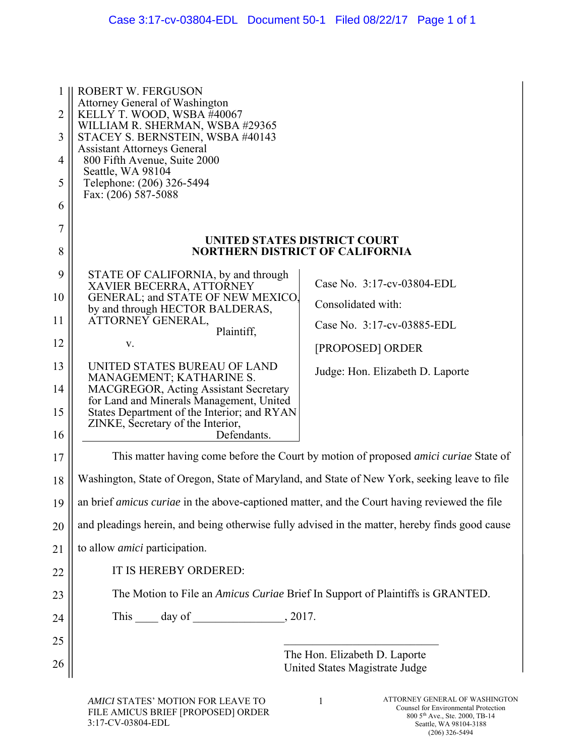| 1<br>2<br>3<br>4<br>5<br>6 | <b>ROBERT W. FERGUSON</b><br><b>Attorney General of Washington</b><br>KELLY T. WOOD, WSBA #40067<br>WILLIAM R. SHERMAN, WSBA #29365<br>STACEY S. BERNSTEIN, WSBA #40143<br><b>Assistant Attorneys General</b><br>800 Fifth Avenue, Suite 2000<br>Seattle, WA 98104<br>Telephone: (206) 326-5494<br>Fax: $(206)$ 587-5088 |                                                                                             |
|----------------------------|--------------------------------------------------------------------------------------------------------------------------------------------------------------------------------------------------------------------------------------------------------------------------------------------------------------------------|---------------------------------------------------------------------------------------------|
| 7                          |                                                                                                                                                                                                                                                                                                                          | UNITED STATES DISTRICT COURT                                                                |
| 8                          |                                                                                                                                                                                                                                                                                                                          | <b>NORTHERN DISTRICT OF CALIFORNIA</b>                                                      |
| 9                          | STATE OF CALIFORNIA, by and through<br>XAVIER BECERRA, ATTORNEY                                                                                                                                                                                                                                                          | Case No. 3:17-cv-03804-EDL                                                                  |
| 10                         | GENERAL; and STATE OF NEW MEXICO,<br>by and through HECTOR BALDERAS,                                                                                                                                                                                                                                                     | Consolidated with:                                                                          |
| 11                         | ATTORNEY GENERAL,<br>Plaintiff,                                                                                                                                                                                                                                                                                          | Case No. 3:17-cv-03885-EDL                                                                  |
| 12                         | V.                                                                                                                                                                                                                                                                                                                       | [PROPOSED] ORDER                                                                            |
| 13                         | UNITED STATES BUREAU OF LAND<br>MANAGEMENT; KATHARINE S.                                                                                                                                                                                                                                                                 | Judge: Hon. Elizabeth D. Laporte                                                            |
| 14                         | <b>MACGREGOR, Acting Assistant Secretary</b>                                                                                                                                                                                                                                                                             |                                                                                             |
| 15                         | for Land and Minerals Management, United<br>States Department of the Interior; and RYAN                                                                                                                                                                                                                                  |                                                                                             |
| 16                         | ZINKE, Secretary of the Interior,<br>Defendants.                                                                                                                                                                                                                                                                         |                                                                                             |
| 17                         |                                                                                                                                                                                                                                                                                                                          | This matter having come before the Court by motion of proposed <i>amici curiae</i> State of |
| 18                         | Washington, State of Oregon, State of Maryland, and State of New York, seeking leave to file                                                                                                                                                                                                                             |                                                                                             |
| 19                         | an brief <i>amicus curiae</i> in the above-captioned matter, and the Court having reviewed the file                                                                                                                                                                                                                      |                                                                                             |
| 20                         | and pleadings herein, and being otherwise fully advised in the matter, hereby finds good cause                                                                                                                                                                                                                           |                                                                                             |
| 21                         | to allow <i>amici</i> participation.                                                                                                                                                                                                                                                                                     |                                                                                             |
| 22                         | IT IS HEREBY ORDERED:                                                                                                                                                                                                                                                                                                    |                                                                                             |
| 23                         |                                                                                                                                                                                                                                                                                                                          | The Motion to File an Amicus Curiae Brief In Support of Plaintiffs is GRANTED.              |
| 24                         | , 2017.                                                                                                                                                                                                                                                                                                                  |                                                                                             |
| 25                         |                                                                                                                                                                                                                                                                                                                          |                                                                                             |
| 26                         |                                                                                                                                                                                                                                                                                                                          | The Hon. Elizabeth D. Laporte<br>United States Magistrate Judge                             |
|                            |                                                                                                                                                                                                                                                                                                                          |                                                                                             |